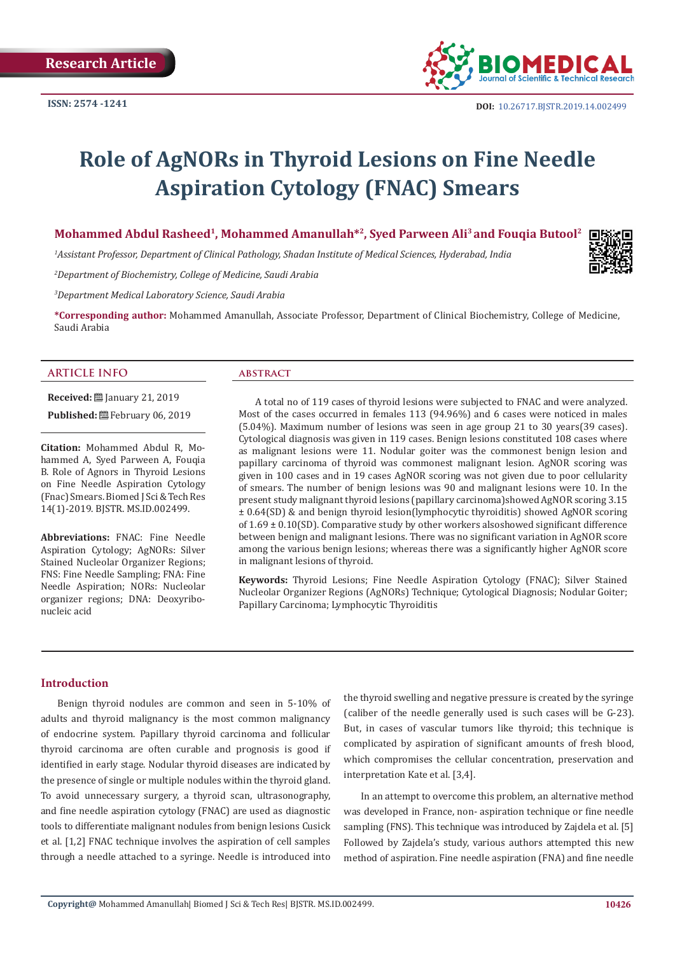

# **Role of AgNORs in Thyroid Lesions on Fine Needle Aspiration Cytology (FNAC) Smears**

**Mohammed Abdul Rasheed1, Mohammed Amanullah\*2, Syed Parween Ali3 and Fouqia Butool2**

*1 Assistant Professor, Department of Clinical Pathology, Shadan Institute of Medical Sciences, Hyderabad, India*

*2 Department of Biochemistry, College of Medicine, Saudi Arabia*

*3 Department Medical Laboratory Science, Saudi Arabia*

**\*Corresponding author:** Mohammed Amanullah, Associate Professor, Department of Clinical Biochemistry, College of Medicine, Saudi Arabia

#### **ARTICLE INFO**

**ABSTRACT** 

**Citation:** Mohammed Abdul R, Mohammed A, Syed Parween A, Fouqia B. Role of Agnors in Thyroid Lesions on Fine Needle Aspiration Cytology

(Fnac) Smears.Biomed J Sci & Tech Res 14(1)-2019. BJSTR. MS.ID.002499.

**Received:** ■ January 21, 2019 Published: **@ February 06, 2019** 

**Abbreviations:** FNAC: Fine Needle Aspiration Cytology; AgNORs: Silver Stained Nucleolar Organizer Regions; FNS: Fine Needle Sampling; FNA: Fine Needle Aspiration; NORs: Nucleolar organizer regions; DNA: Deoxyribonucleic acid

A total no of 119 cases of thyroid lesions were subjected to FNAC and were analyzed. Most of the cases occurred in females 113 (94.96%) and 6 cases were noticed in males (5.04%). Maximum number of lesions was seen in age group 21 to 30 years(39 cases). Cytological diagnosis was given in 119 cases. Benign lesions constituted 108 cases where as malignant lesions were 11. Nodular goiter was the commonest benign lesion and papillary carcinoma of thyroid was commonest malignant lesion. AgNOR scoring was given in 100 cases and in 19 cases AgNOR scoring was not given due to poor cellularity of smears. The number of benign lesions was 90 and malignant lesions were 10. In the present study malignant thyroid lesions (papillary carcinoma)showed AgNOR scoring 3.15 ± 0.64(SD) & and benign thyroid lesion(lymphocytic thyroiditis) showed AgNOR scoring of  $1.69 \pm 0.10$  (SD). Comparative study by other workers alsoshowed significant difference between benign and malignant lesions. There was no significant variation in AgNOR score among the various benign lesions; whereas there was a significantly higher AgNOR score in malignant lesions of thyroid.

**Keywords:** Thyroid Lesions; Fine Needle Aspiration Cytology (FNAC); Silver Stained Nucleolar Organizer Regions (AgNORs) Technique; Cytological Diagnosis; Nodular Goiter; Papillary Carcinoma; Lymphocytic Thyroiditis

#### **Introduction**

Benign thyroid nodules are common and seen in 5-10% of adults and thyroid malignancy is the most common malignancy of endocrine system. Papillary thyroid carcinoma and follicular thyroid carcinoma are often curable and prognosis is good if identified in early stage. Nodular thyroid diseases are indicated by the presence of single or multiple nodules within the thyroid gland. To avoid unnecessary surgery, a thyroid scan, ultrasonography, and fine needle aspiration cytology (FNAC) are used as diagnostic tools to differentiate malignant nodules from benign lesions Cusick et al. [1,2] FNAC technique involves the aspiration of cell samples through a needle attached to a syringe. Needle is introduced into

the thyroid swelling and negative pressure is created by the syringe (caliber of the needle generally used is such cases will be G-23). But, in cases of vascular tumors like thyroid; this technique is complicated by aspiration of significant amounts of fresh blood, which compromises the cellular concentration, preservation and interpretation Kate et al. [3,4].

In an attempt to overcome this problem, an alternative method was developed in France, non- aspiration technique or fine needle sampling (FNS). This technique was introduced by Zajdela et al. [5] Followed by Zajdela's study, various authors attempted this new method of aspiration. Fine needle aspiration (FNA) and fine needle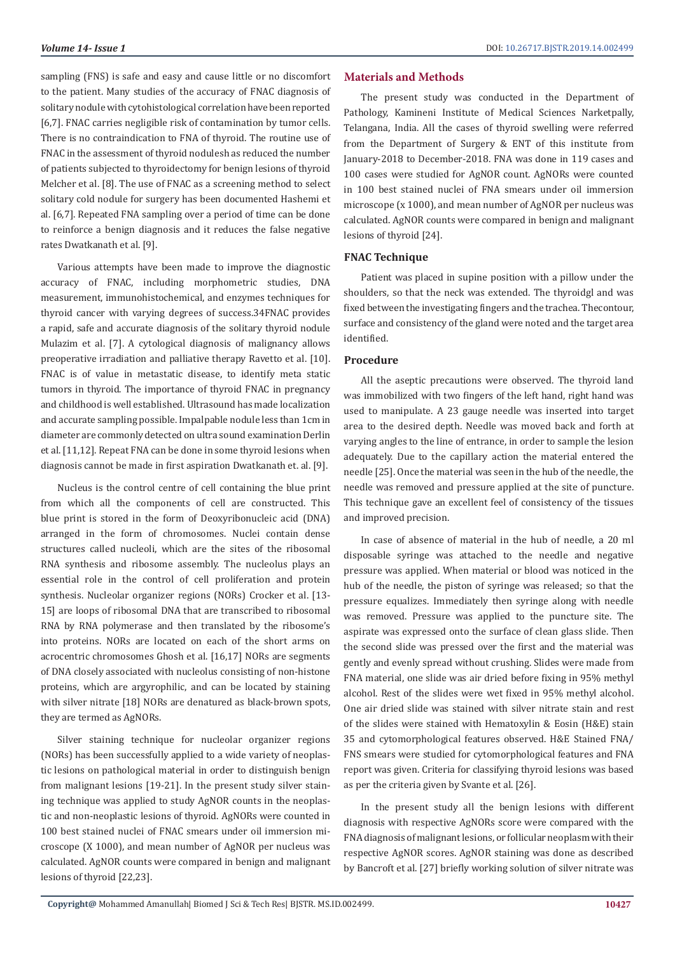sampling (FNS) is safe and easy and cause little or no discomfort to the patient. Many studies of the accuracy of FNAC diagnosis of solitary nodule with cytohistological correlation have been reported [6,7]. FNAC carries negligible risk of contamination by tumor cells. There is no contraindication to FNA of thyroid. The routine use of FNAC in the assessment of thyroid nodulesh as reduced the number of patients subjected to thyroidectomy for benign lesions of thyroid Melcher et al. [8]. The use of FNAC as a screening method to select solitary cold nodule for surgery has been documented Hashemi et al. [6,7]. Repeated FNA sampling over a period of time can be done to reinforce a benign diagnosis and it reduces the false negative rates Dwatkanath et al. [9].

Various attempts have been made to improve the diagnostic accuracy of FNAC, including morphometric studies, DNA measurement, immunohistochemical, and enzymes techniques for thyroid cancer with varying degrees of success.34FNAC provides a rapid, safe and accurate diagnosis of the solitary thyroid nodule Mulazim et al. [7]. A cytological diagnosis of malignancy allows preoperative irradiation and palliative therapy Ravetto et al. [10]. FNAC is of value in metastatic disease, to identify meta static tumors in thyroid. The importance of thyroid FNAC in pregnancy and childhood is well established. Ultrasound has made localization and accurate sampling possible. Impalpable nodule less than 1cm in diameter are commonly detected on ultra sound examination Derlin et al. [11,12]. Repeat FNA can be done in some thyroid lesions when diagnosis cannot be made in first aspiration Dwatkanath et. al. [9].

Nucleus is the control centre of cell containing the blue print from which all the components of cell are constructed. This blue print is stored in the form of Deoxyribonucleic acid (DNA) arranged in the form of chromosomes. Nuclei contain dense structures called nucleoli, which are the sites of the ribosomal RNA synthesis and ribosome assembly. The nucleolus plays an essential role in the control of cell proliferation and protein synthesis. Nucleolar organizer regions (NORs) Crocker et al. [13- 15] are loops of ribosomal DNA that are transcribed to ribosomal RNA by RNA polymerase and then translated by the ribosome's into proteins. NORs are located on each of the short arms on acrocentric chromosomes Ghosh et al. [16,17] NORs are segments of DNA closely associated with nucleolus consisting of non-histone proteins, which are argyrophilic, and can be located by staining with silver nitrate [18] NORs are denatured as black-brown spots, they are termed as AgNORs.

Silver staining technique for nucleolar organizer regions (NORs) has been successfully applied to a wide variety of neoplastic lesions on pathological material in order to distinguish benign from malignant lesions [19-21]. In the present study silver staining technique was applied to study AgNOR counts in the neoplastic and non-neoplastic lesions of thyroid. AgNORs were counted in 100 best stained nuclei of FNAC smears under oil immersion microscope (X 1000), and mean number of AgNOR per nucleus was calculated. AgNOR counts were compared in benign and malignant lesions of thyroid [22,23].

#### **Materials and Methods**

The present study was conducted in the Department of Pathology, Kamineni Institute of Medical Sciences Narketpally, Telangana, India. All the cases of thyroid swelling were referred from the Department of Surgery & ENT of this institute from January-2018 to December-2018. FNA was done in 119 cases and 100 cases were studied for AgNOR count. AgNORs were counted in 100 best stained nuclei of FNA smears under oil immersion microscope (x 1000), and mean number of AgNOR per nucleus was calculated. AgNOR counts were compared in benign and malignant lesions of thyroid [24].

## **FNAC Technique**

Patient was placed in supine position with a pillow under the shoulders, so that the neck was extended. The thyroidgl and was fixed between the investigating fingers and the trachea. Thecontour, surface and consistency of the gland were noted and the target area identified.

## **Procedure**

All the aseptic precautions were observed. The thyroid land was immobilized with two fingers of the left hand, right hand was used to manipulate. A 23 gauge needle was inserted into target area to the desired depth. Needle was moved back and forth at varying angles to the line of entrance, in order to sample the lesion adequately. Due to the capillary action the material entered the needle [25]. Once the material was seen in the hub of the needle, the needle was removed and pressure applied at the site of puncture. This technique gave an excellent feel of consistency of the tissues and improved precision.

In case of absence of material in the hub of needle, a 20 ml disposable syringe was attached to the needle and negative pressure was applied. When material or blood was noticed in the hub of the needle, the piston of syringe was released; so that the pressure equalizes. Immediately then syringe along with needle was removed. Pressure was applied to the puncture site. The aspirate was expressed onto the surface of clean glass slide. Then the second slide was pressed over the first and the material was gently and evenly spread without crushing. Slides were made from FNA material, one slide was air dried before fixing in 95% methyl alcohol. Rest of the slides were wet fixed in 95% methyl alcohol. One air dried slide was stained with silver nitrate stain and rest of the slides were stained with Hematoxylin & Eosin (H&E) stain 35 and cytomorphological features observed. H&E Stained FNA/ FNS smears were studied for cytomorphological features and FNA report was given. Criteria for classifying thyroid lesions was based as per the criteria given by Svante et al. [26].

In the present study all the benign lesions with different diagnosis with respective AgNORs score were compared with the FNA diagnosis of malignant lesions, or follicular neoplasm with their respective AgNOR scores. AgNOR staining was done as described by Bancroft et al. [27] briefly working solution of silver nitrate was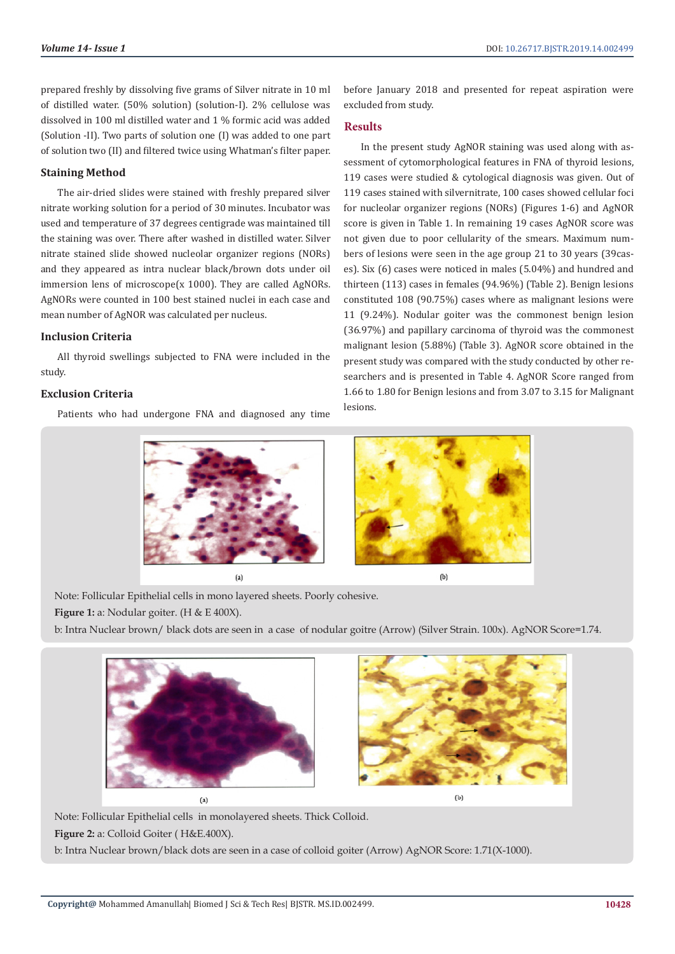prepared freshly by dissolving five grams of Silver nitrate in 10 ml of distilled water. (50% solution) (solution-I). 2% cellulose was dissolved in 100 ml distilled water and 1 % formic acid was added (Solution -II). Two parts of solution one (I) was added to one part of solution two (II) and filtered twice using Whatman's filter paper.

# **Staining Method**

The air-dried slides were stained with freshly prepared silver nitrate working solution for a period of 30 minutes. Incubator was used and temperature of 37 degrees centigrade was maintained till the staining was over. There after washed in distilled water. Silver nitrate stained slide showed nucleolar organizer regions (NORs) and they appeared as intra nuclear black/brown dots under oil immersion lens of microscope(x 1000). They are called AgNORs. AgNORs were counted in 100 best stained nuclei in each case and mean number of AgNOR was calculated per nucleus.

#### **Inclusion Criteria**

All thyroid swellings subjected to FNA were included in the study.

## **Exclusion Criteria**

Patients who had undergone FNA and diagnosed any time

before January 2018 and presented for repeat aspiration were excluded from study.

# **Results**

In the present study AgNOR staining was used along with assessment of cytomorphological features in FNA of thyroid lesions, 119 cases were studied & cytological diagnosis was given. Out of 119 cases stained with silvernitrate, 100 cases showed cellular foci for nucleolar organizer regions (NORs) (Figures 1-6) and AgNOR score is given in Table 1. In remaining 19 cases AgNOR score was not given due to poor cellularity of the smears. Maximum numbers of lesions were seen in the age group 21 to 30 years (39cases). Six (6) cases were noticed in males (5.04%) and hundred and thirteen (113) cases in females (94.96%) (Table 2). Benign lesions constituted 108 (90.75%) cases where as malignant lesions were 11 (9.24%). Nodular goiter was the commonest benign lesion (36.97%) and papillary carcinoma of thyroid was the commonest malignant lesion (5.88%) (Table 3). AgNOR score obtained in the present study was compared with the study conducted by other researchers and is presented in Table 4. AgNOR Score ranged from 1.66 to 1.80 for Benign lesions and from 3.07 to 3.15 for Malignant lesions.



Note: Follicular Epithelial cells in mono layered sheets. Poorly cohesive.

Figure 1: a: Nodular goiter. (H & E 400X).

b: Intra Nuclear brown/ black dots are seen in a case of nodular goitre (Arrow) (Silver Strain. 100x). AgNOR Score=1.74.





 $(b)$ 

Note: Follicular Epithelial cells in monolayered sheets. Thick Colloid.

**Figure 2:** a: Colloid Goiter ( H&E.400X).

b: Intra Nuclear brown/black dots are seen in a case of colloid goiter (Arrow) AgNOR Score: 1.71(X-1000).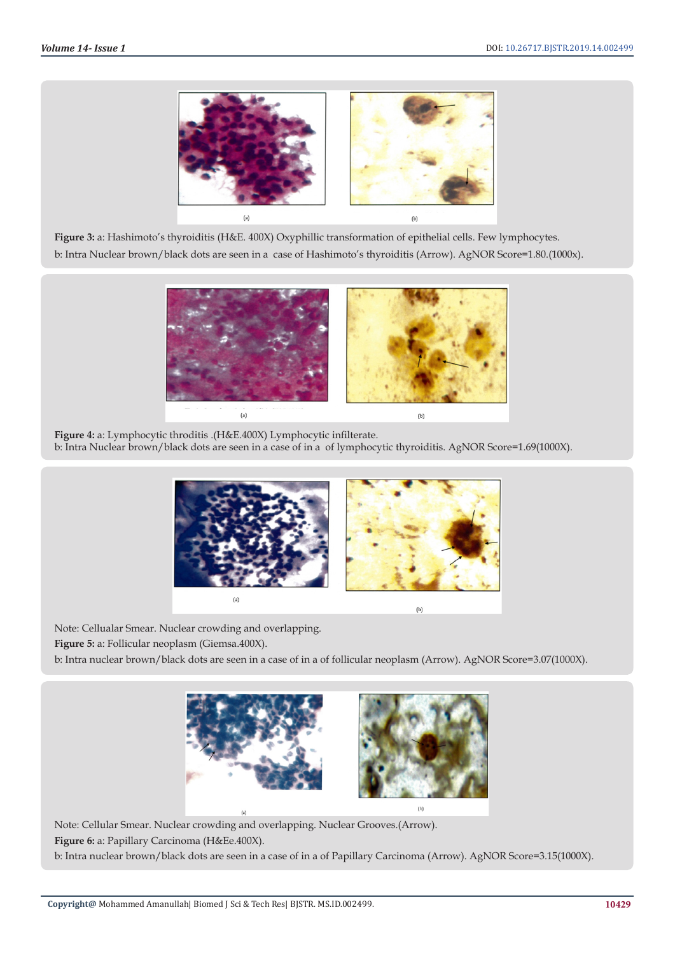

**Figure 3:** a: Hashimoto's thyroiditis (H&E. 400X) Oxyphillic transformation of epithelial cells. Few lymphocytes. b: Intra Nuclear brown/black dots are seen in a case of Hashimoto's thyroiditis (Arrow). AgNOR Score=1.80.(1000x).



**Figure 4:** a: Lymphocytic throditis .(H&E.400X) Lymphocytic infilterate. b: Intra Nuclear brown/black dots are seen in a case of in a of lymphocytic thyroiditis. AgNOR Score=1.69(1000X).



Note: Cellualar Smear. Nuclear crowding and overlapping. **Figure 5:** a: Follicular neoplasm (Giemsa.400X).

b: Intra nuclear brown/black dots are seen in a case of in a of follicular neoplasm (Arrow). AgNOR Score=3.07(1000X).



Note: Cellular Smear. Nuclear crowding and overlapping. Nuclear Grooves.(Arrow). **Figure 6:** a: Papillary Carcinoma (H&Ee.400X). b: Intra nuclear brown/black dots are seen in a case of in a of Papillary Carcinoma (Arrow). AgNOR Score=3.15(1000X).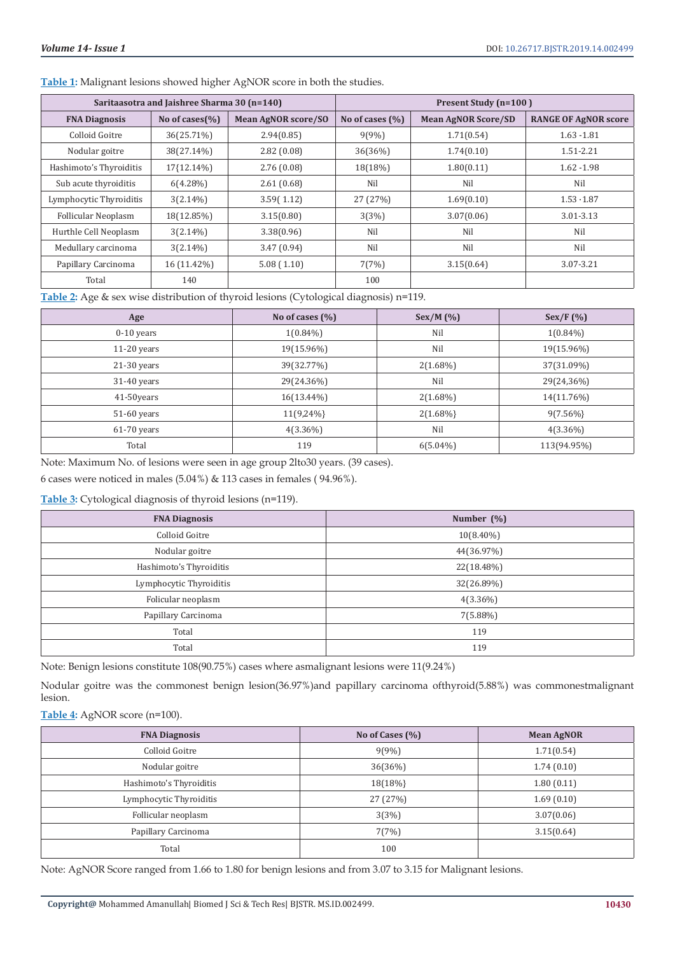**Table 1:** Malignant lesions showed higher AgNOR score in both the studies.

|                            | Saritaasotra and Jaishree Sharma 30 (n=140) |                            |                     | Present Study (n=100)      |                             |
|----------------------------|---------------------------------------------|----------------------------|---------------------|----------------------------|-----------------------------|
| <b>FNA Diagnosis</b>       | No of cases $(\% )$                         | <b>Mean AgNOR score/SO</b> | No of cases $(\% )$ | <b>Mean AgNOR Score/SD</b> | <b>RANGE OF AgNOR score</b> |
| Colloid Goitre             | 36(25.71%)                                  | 2.94(0.85)                 | 9(9%)               | 1.71(0.54)                 | $1.63 - 1.81$               |
| Nodular goitre             | 38(27.14%)                                  | 2.82(0.08)                 | 36(36%)             | 1.74(0.10)                 | $1.51 - 2.21$               |
| Hashimoto's Thyroiditis    | 17{12.14%}                                  | 2.76(0.08)                 | 18(18%)             | 1.80(0.11)                 | $1.62 - 1.98$               |
| Sub acute thyroiditis      | $6(4.28\%)$                                 | 2.61(0.68)                 | Nil                 | Nil                        | Nil                         |
| Lymphocytic Thyroiditis    | $3(2.14\%)$                                 | 3.59(1.12)                 | 27 (27%)            | 1.69(0.10)                 | $1.53 \cdot 1.87$           |
| <b>Follicular Neoplasm</b> | 18(12.85%)                                  | 3.15(0.80)                 | 3(3%)               | 3.07(0.06)                 | 3.01-3.13                   |
| Hurthle Cell Neoplasm      | $3(2.14\%)$                                 | 3.38(0.96)                 | Nil                 | Nil                        | Nil                         |
| Medullary carcinoma        | $3(2.14\%)$                                 | 3.47(0.94)                 | Nil                 | Nil                        | Nil                         |
| Papillary Carcinoma        | 16 (11.42%)                                 | 5.08(1.10)                 | 7(7%)               | 3.15(0.64)                 | 3.07-3.21                   |
| Total                      | 140                                         |                            | 100                 |                            |                             |

**Table 2:** Age & sex wise distribution of thyroid lesions (Cytological diagnosis) n=119.

| Age           | No of cases $(\% )$ | Sex/M (%)   | Sex/F(%)    |
|---------------|---------------------|-------------|-------------|
| $0-10$ years  | $1(0.84\%)$         | Nil         | $1(0.84\%)$ |
| $11-20$ years | 19(15.96%)          | Nil         | 19(15.96%)  |
| $21-30$ years | 39(32.77%)          | $2(1.68\%)$ | 37(31.09%)  |
| $31-40$ years | 29(24.36%)          | Nil         | 29(24,36%)  |
| 41-50years    | $16(13.44\%)$       | $2(1.68\%)$ | 14(11.76%)  |
| 51-60 years   | 11(9,24%}           | $2(1.68\%)$ | $9(7.56\%)$ |
| $61-70$ years | $4(3.36\%)$         | Nil         | $4(3.36\%)$ |
| Total         | 119                 | $6(5.04\%)$ | 113(94.95%) |

Note: Maximum No. of lesions were seen in age group 2lto30 years. (39 cases).

6 cases were noticed in males (5.04%) & 113 cases in females ( 94.96%).

**Table 3:** Cytological diagnosis of thyroid lesions (n=119).

| <b>FNA Diagnosis</b>    | Number $(\%)$ |  |  |
|-------------------------|---------------|--|--|
| Colloid Goitre          | $10(8.40\%)$  |  |  |
| Nodular goitre          | 44(36.97%)    |  |  |
| Hashimoto's Thyroiditis | 22(18.48%)    |  |  |
| Lymphocytic Thyroiditis | 32(26.89%)    |  |  |
| Folicular neoplasm      | $4(3.36\%)$   |  |  |
| Papillary Carcinoma     | 7(5.88%)      |  |  |
| Total                   | 119           |  |  |
| Total                   | 119           |  |  |

Note: Benign lesions constitute 108(90.75%) cases where asmalignant lesions were 11(9.24%)

Nodular goitre was the commonest benign lesion(36.97%)and papillary carcinoma ofthyroid(5.88%) was commonestmalignant lesion.

**Table 4:** AgNOR score (n=100).

| <b>FNA Diagnosis</b>    | No of Cases (%) | <b>Mean AgNOR</b> |
|-------------------------|-----------------|-------------------|
| Colloid Goitre          | $9(9\%)$        | 1.71(0.54)        |
| Nodular goitre          | 36(36%)         | 1.74(0.10)        |
| Hashimoto's Thyroiditis | 18(18%}         | 1.80(0.11)        |
| Lymphocytic Thyroiditis | 27 (27%)        | 1.69(0.10)        |
| Follicular neoplasm     | 3(3%)           | 3.07(0.06)        |
| Papillary Carcinoma     | 7(7%)           | 3.15(0.64)        |
| Total                   | 100             |                   |

Note: AgNOR Score ranged from 1.66 to 1.80 for benign lesions and from 3.07 to 3.15 for Malignant lesions.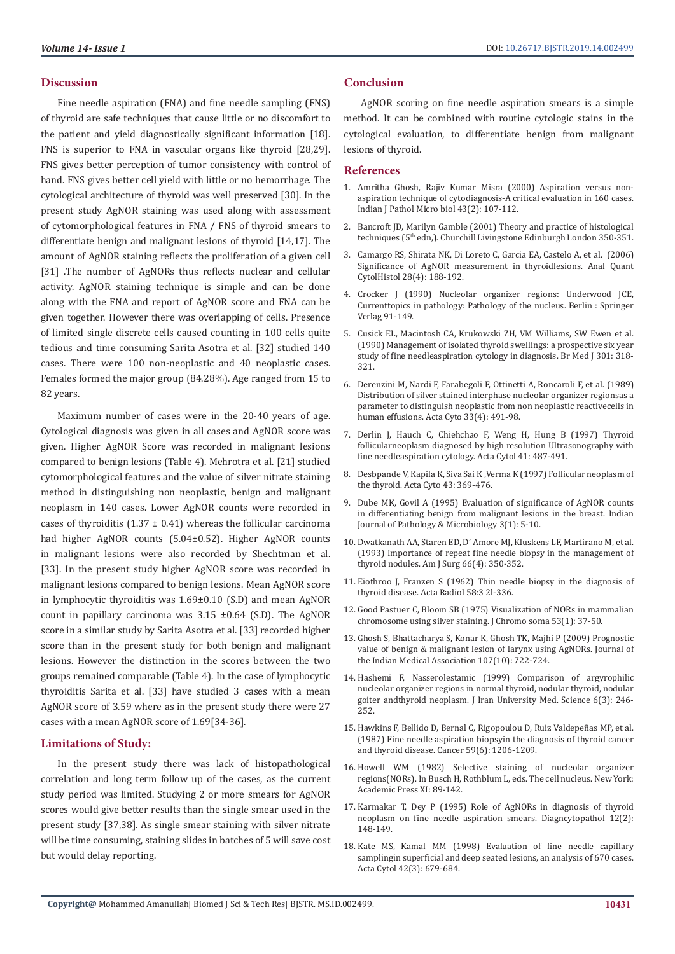# **Discussion**

Fine needle aspiration (FNA) and fine needle sampling (FNS) of thyroid are safe techniques that cause little or no discomfort to the patient and yield diagnostically significant information [18]. FNS is superior to FNA in vascular organs like thyroid [28,29]. FNS gives better perception of tumor consistency with control of hand. FNS gives better cell yield with little or no hemorrhage. The cytological architecture of thyroid was well preserved [30]. In the present study AgNOR staining was used along with assessment of cytomorphological features in FNA / FNS of thyroid smears to differentiate benign and malignant lesions of thyroid [14,17]. The amount of AgNOR staining reflects the proliferation of a given cell [31] .The number of AgNORs thus reflects nuclear and cellular activity. AgNOR staining technique is simple and can be done along with the FNA and report of AgNOR score and FNA can be given together. However there was overlapping of cells. Presence of limited single discrete cells caused counting in 100 cells quite tedious and time consuming Sarita Asotra et al. [32] studied 140 cases. There were 100 non-neoplastic and 40 neoplastic cases. Females formed the major group (84.28%). Age ranged from 15 to 82 years.

Maximum number of cases were in the 20-40 years of age. Cytological diagnosis was given in all cases and AgNOR score was given. Higher AgNOR Score was recorded in malignant lesions compared to benign lesions (Table 4). Mehrotra et al. [21] studied cytomorphological features and the value of silver nitrate staining method in distinguishing non neoplastic, benign and malignant neoplasm in 140 cases. Lower AgNOR counts were recorded in cases of thyroiditis  $(1.37 \pm 0.41)$  whereas the follicular carcinoma had higher AgNOR counts (5.04±0.52). Higher AgNOR counts in malignant lesions were also recorded by Shechtman et al. [33]. In the present study higher AgNOR score was recorded in malignant lesions compared to benign lesions. Mean AgNOR score in lymphocytic thyroiditis was 1.69±0.10 (S.D) and mean AgNOR count in papillary carcinoma was 3.15 ±0.64 (S.D). The AgNOR score in a similar study by Sarita Asotra et al. [33] recorded higher score than in the present study for both benign and malignant lesions. However the distinction in the scores between the two groups remained comparable (Table 4). In the case of lymphocytic thyroiditis Sarita et al. [33] have studied 3 cases with a mean AgNOR score of 3.59 where as in the present study there were 27 cases with a mean AgNOR score of 1.69[34-36].

# **Limitations of Study:**

In the present study there was lack of histopathological correlation and long term follow up of the cases, as the current study period was limited. Studying 2 or more smears for AgNOR scores would give better results than the single smear used in the present study [37,38]. As single smear staining with silver nitrate will be time consuming, staining slides in batches of 5 will save cost but would delay reporting.

# **Conclusion**

AgNOR scoring on fine needle aspiration smears is a simple method. It can be combined with routine cytologic stains in the cytological evaluation, to differentiate benign from malignant lesions of thyroid.

## **References**

- 1. [Amritha Ghosh, Rajiv Kumar Misra \(2000\) Aspiration versus non](https://www.ncbi.nlm.nih.gov/pubmed/11217264)[aspiration technique of cytodiagnosis-A critical evaluation in 160 cases.](https://www.ncbi.nlm.nih.gov/pubmed/11217264) [Indian J Pathol Micro biol 43\(2\): 107-112.](https://www.ncbi.nlm.nih.gov/pubmed/11217264)
- 2. Bancroft JD, Marilyn Gamble (2001) Theory and practice of histological techniques (5<sup>th</sup> edn,). Churchill Livingstone Edinburgh London 350-351.
- 3. [Camargo RS, Shirata NK, Di Loreto C, Garcia EA, Castelo A, et al. \(2006\)](https://www.ncbi.nlm.nih.gov/pubmed/16927638) [Significance of AgNOR measurement in thyroidlesions. Anal Quant](https://www.ncbi.nlm.nih.gov/pubmed/16927638) [CytolHistol 28\(4\): 188-192.](https://www.ncbi.nlm.nih.gov/pubmed/16927638)
- 4. Crocker J (1990) Nucleolar organizer regions: Underwood JCE, Currenttopics in pathology: Pathology of the nucleus. Berlin : Springer Verlag 91-149.
- 5. [Cusick EL, Macintosh CA, Krukowski ZH, VM Williams, SW Ewen et al.](https://www.bmj.com/content/301/6747/318) [\(1990\) Management of isolated thyroid swellings: a prospective six year](https://www.bmj.com/content/301/6747/318) [study of fine needleaspiration cytology in diagnosis. Br Med J 301: 318-](https://www.bmj.com/content/301/6747/318) [321.](https://www.bmj.com/content/301/6747/318)
- 6. [Derenzini M, Nardi F, Farabegoli F, Ottinetti A, Roncaroli F, et al. \(1989\)](https://www.ncbi.nlm.nih.gov/pubmed/2473585) [Distribution of silver stained interphase nucleolar organizer regionsas a](https://www.ncbi.nlm.nih.gov/pubmed/2473585) [parameter to distinguish neoplastic from non neoplastic reactivecells in](https://www.ncbi.nlm.nih.gov/pubmed/2473585) [human effusions. Acta Cyto 33\(4\): 491-98.](https://www.ncbi.nlm.nih.gov/pubmed/2473585)
- 7. [Derlin J, Hauch C, Chiehchao F, Weng H, Hung B \(1997\) Thyroid](https://www.ncbi.nlm.nih.gov/pmc/articles/PMC4707785/) [follicularneoplasm diagnosed by high resolution Ultrasonography with](https://www.ncbi.nlm.nih.gov/pmc/articles/PMC4707785/) [fine needleaspiration cytology. Acta Cytol 41: 487-491.](https://www.ncbi.nlm.nih.gov/pmc/articles/PMC4707785/)
- 8. Desbpande V, Kapila K, Siva Sai K ,Verma K (1997) Follicular neoplasm of the thyroid. Acta Cyto 43: 369-476.
- 9. [Dube MK, Govil A \(1995\) Evaluation of significance of AgNOR counts](https://www.ncbi.nlm.nih.gov/pubmed/8919463) [in differentiating benign from malignant lesions in the breast. Indian](https://www.ncbi.nlm.nih.gov/pubmed/8919463) [Journal of Pathology & Microbiology 3\(1\): 5-10.](https://www.ncbi.nlm.nih.gov/pubmed/8919463)
- 10. [Dwatkanath AA, Staren ED, D' Amore MJ, Kluskens LF, Martirano M, et al.](https://www.ncbi.nlm.nih.gov/pubmed/8214290) [\(1993\) Importance of repeat fine needle biopsy in the management of](https://www.ncbi.nlm.nih.gov/pubmed/8214290) [thyroid nodules. Am J Surg 66\(4\): 350-352.](https://www.ncbi.nlm.nih.gov/pubmed/8214290)
- 11. [Eiothroo J, Franzen S \(1962\) Thin needle biopsy in the diagnosis of](https://journals.sagepub.com/doi/abs/10.1177/028418516205800501) [thyroid disease. Acta Radiol 58:3 2l-336.](https://journals.sagepub.com/doi/abs/10.1177/028418516205800501)
- 12. [Good Pastuer C, Bloom SB \(1975\) Visualization of NORs in mammalian](https://link.springer.com/article/10.1007/BF00329389) [chromosome using silver staining. J Chromo soma 53\(1\): 37-50.](https://link.springer.com/article/10.1007/BF00329389)
- 13. [Ghosh S, Bhattacharya S, Konar K, Ghosh TK, Majhi P \(2009\) Prognostic](https://www.ncbi.nlm.nih.gov/pubmed/20469747) [value of benign & malignant lesion of larynx using AgNORs. Journal of](https://www.ncbi.nlm.nih.gov/pubmed/20469747) [the Indian Medical Association 107\(10\): 722-724.](https://www.ncbi.nlm.nih.gov/pubmed/20469747)
- 14. [Hashemi F, Nasserolestamic \(1999\) Comparison of argyrophilic](http://rjms.iums.ac.ir/browse.php?a_id=1765&sid=1&slc_lang=en) [nucleolar organizer regions in normal thyroid, nodular thyroid, nodular](http://rjms.iums.ac.ir/browse.php?a_id=1765&sid=1&slc_lang=en) [goiter andthyroid neoplasm. J Iran University Med. Science 6\(3\): 246-](http://rjms.iums.ac.ir/browse.php?a_id=1765&sid=1&slc_lang=en) [252.](http://rjms.iums.ac.ir/browse.php?a_id=1765&sid=1&slc_lang=en)
- 15. [Hawkins F, Bellido D, Bernal C, Rigopoulou D, Ruiz Valdepeñas MP, et al.](https://www.ncbi.nlm.nih.gov/pubmed/3815295) [\(1987\) Fine needle aspiration biopsyin the diagnosis of thyroid cancer](https://www.ncbi.nlm.nih.gov/pubmed/3815295) [and thyroid disease. Cancer 59\(6\): 1206-1209.](https://www.ncbi.nlm.nih.gov/pubmed/3815295)
- 16. Howell WM (1982) Selective staining of nucleolar organizer regions(NORs). In Busch H, Rothblum L, eds. The cell nucleus. New York: Academic Press XI: 89-142.
- 17. [Karmakar T, Dey P \(1995\) Role of AgNORs in diagnosis of thyroid](https://www.ncbi.nlm.nih.gov/pubmed/7539738) [neoplasm on fine needle aspiration smears. Diagncytopathol 12\(2\):](https://www.ncbi.nlm.nih.gov/pubmed/7539738) [148-149.](https://www.ncbi.nlm.nih.gov/pubmed/7539738)
- 18. [Kate MS, Kamal MM \(1998\) Evaluation of fine needle capillary](https://www.ncbi.nlm.nih.gov/pubmed/9622687) [samplingin superficial and deep seated lesions, an analysis of 670 cases.](https://www.ncbi.nlm.nih.gov/pubmed/9622687) [Acta Cytol 42\(3\): 679-684.](https://www.ncbi.nlm.nih.gov/pubmed/9622687)